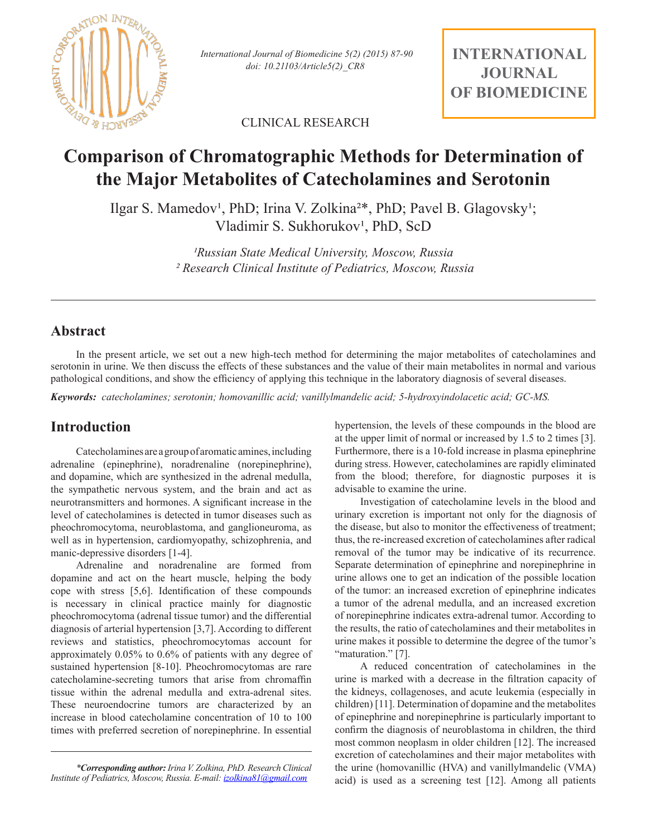

*doi: 10.21103/Article5(2)\_CR8 International Journal of Biomedicine 5(2) (2015) 87-90*

**INTERNATIONAL JOURNAL OF BIOMEDICINE**

CLINICAL RESEARCH

# **Comparison of Chromatographic Methods for Determination of the Major Metabolites of Catecholamines and Serotonin**

Ilgar S. Mamedov<sup>1</sup>, PhD; Irina V. Zolkina<sup>2\*</sup>, PhD; Pavel B. Glagovsky<sup>1</sup>; Vladimir S. Sukhorukov<sup>1</sup>, PhD, ScD

> *¹Russian State Medical University, Moscow, Russia ² Research Clinical Institute of Pediatrics, Moscow, Russia*

## **Abstract**

In the present article, we set out a new high-tech method for determining the major metabolites of catecholamines and serotonin in urine. We then discuss the effects of these substances and the value of their main metabolites in normal and various pathological conditions, and show the efficiency of applying this technique in the laboratory diagnosis of several diseases.

*Keywords: catecholamines; serotonin; homovanillic acid; vanillylmandelic acid; 5-hydroxyindolacetic acid; GC-MS.*

## **Introduction**

Catecholamines are a group of aromatic amines, including adrenaline (epinephrine), noradrenaline (norepinephrine), and dopamine, which are synthesized in the adrenal medulla, the sympathetic nervous system, and the brain and act as neurotransmitters and hormones. A significant increase in the level of catecholamines is detected in tumor diseases such as pheochromocytoma, neuroblastoma, and ganglioneuroma, as well as in hypertension, cardiomyopathy, schizophrenia, and manic-depressive disorders [1-4].

Adrenaline and noradrenaline are formed from dopamine and act on the heart muscle, helping the body cope with stress [5,6]. Identification of these compounds is necessary in clinical practice mainly for diagnostic pheochromocytoma (adrenal tissue tumor) and the differential diagnosis of arterial hypertension [3,7]. According to different reviews and statistics, pheochromocytomas account for approximately 0.05% to 0.6% of patients with any degree of sustained hypertension [8-10]. Pheochromocytomas are rare catecholamine-secreting tumors that arise from chromaffin tissue within the adrenal medulla and extra-adrenal sites. These neuroendocrine tumors are characterized by an increase in blood catecholamine concentration of 10 to 100 times with preferred secretion of norepinephrine. In essential

hypertension, the levels of these compounds in the blood are at the upper limit of normal or increased by 1.5 to 2 times [3]. Furthermore, there is a 10-fold increase in plasma epinephrine during stress. However, catecholamines are rapidly eliminated from the blood; therefore, for diagnostic purposes it is advisable to examine the urine.

Investigation of catecholamine levels in the blood and urinary excretion is important not only for the diagnosis of the disease, but also to monitor the effectiveness of treatment; thus, the re-increased excretion of catecholamines after radical removal of the tumor may be indicative of its recurrence. Separate determination of epinephrine and norepinephrine in urine allows one to get an indication of the possible location of the tumor: an increased excretion of epinephrine indicates a tumor of the adrenal medulla, and an increased excretion of norepinephrine indicates extra-adrenal tumor. According to the results, the ratio of catecholamines and their metabolites in urine makes it possible to determine the degree of the tumor's "maturation." [7].

A reduced concentration of catecholamines in the urine is marked with a decrease in the filtration capacity of the kidneys, collagenoses, and acute leukemia (especially in children) [11]. Determination of dopamine and the metabolites of epinephrine and norepinephrine is particularly important to confirm the diagnosis of neuroblastoma in children, the third most common neoplasm in older children [12]. The increased excretion of catecholamines and their major metabolites with the urine (homovanillic (HVA) and vanillylmandelic (VMA) acid) is used as a screening test [12]. Among all patients

*<sup>\*</sup>Corresponding author: Irina V. Zolkina, PhD. Research Clinical Institute of Pediatrics, Moscow, Russia. E-mail: izolkina81@gmail.com*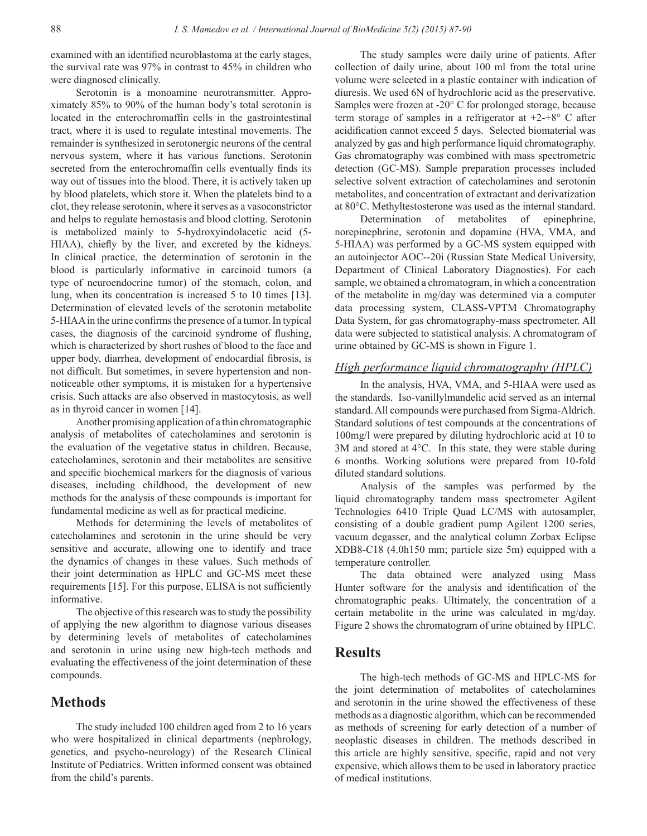examined with an identified neuroblastoma at the early stages, the survival rate was 97% in contrast to 45% in children who were diagnosed clinically.

Serotonin is a monoamine neurotransmitter. Approximately 85% to 90% of the human body's total serotonin is located in the enterochromaffin cells in the gastrointestinal tract, where it is used to regulate intestinal movements. The remainder is synthesized in serotonergic neurons of the central nervous system, where it has various functions. Serotonin secreted from the enterochromaffin cells eventually finds its way out of tissues into the blood. There, it is actively taken up by blood platelets, which store it. When the platelets bind to a clot, they release serotonin, where it serves as a vasoconstrictor and helps to regulate hemostasis and blood clotting. Serotonin is metabolized mainly to 5-hydroxyindolacetic acid (5- HIAA), chiefly by the liver, and excreted by the kidneys. In clinical practice, the determination of serotonin in the blood is particularly informative in carcinoid tumors (a type of neuroendocrine tumor) of the stomach, colon, and lung, when its concentration is increased 5 to 10 times [13]. Determination of elevated levels of the serotonin metabolite 5-HIAA in the urine confirms the presence of a tumor. In typical cases, the diagnosis of the carcinoid syndrome of flushing, which is characterized by short rushes of blood to the face and upper body, diarrhea, development of endocardial fibrosis, is not difficult. But sometimes, in severe hypertension and nonnoticeable other symptoms, it is mistaken for a hypertensive crisis. Such attacks are also observed in mastocytosis, as well as in thyroid cancer in women [14].

Another promising application of a thin chromatographic analysis of metabolites of catecholamines and serotonin is the evaluation of the vegetative status in children. Because, catecholamines, serotonin and their metabolites are sensitive and specific biochemical markers for the diagnosis of various diseases, including childhood, the development of new methods for the analysis of these compounds is important for fundamental medicine as well as for practical medicine.

Methods for determining the levels of metabolites of catecholamines and serotonin in the urine should be very sensitive and accurate, allowing one to identify and trace the dynamics of changes in these values. Such methods of their joint determination as HPLC and GC-MS meet these requirements [15]. For this purpose, ELISA is not sufficiently informative.

The objective of this research was to study the possibility of applying the new algorithm to diagnose various diseases by determining levels of metabolites of catecholamines and serotonin in urine using new high-tech methods and evaluating the effectiveness of the joint determination of these compounds.

## **Methods**

The study included 100 children aged from 2 to 16 years who were hospitalized in clinical departments (nephrology, genetics, and psycho-neurology) of the Research Clinical Institute of Pediatrics. Written informed consent was obtained from the child's parents.

The study samples were daily urine of patients. After collection of daily urine, about 100 ml from the total urine volume were selected in a plastic container with indication of diuresis. We used 6N of hydrochloric acid as the preservative. Samples were frozen at -20° C for prolonged storage, because term storage of samples in a refrigerator at  $+2+8$ ° C after acidification cannot exceed 5 days. Selected biomaterial was analyzed by gas and high performance liquid chromatography. Gas chromatography was combined with mass spectrometric detection (GC-MS). Sample preparation processes included selective solvent extraction of catecholamines and serotonin metabolites, and concentration of extractant and derivatization at 80°C. Methyltestosterone was used as the internal standard.

Determination of metabolites of epinephrine, norepinephrine, serotonin and dopamine (HVA, VMA, and 5-HIAA) was performed by a GC-MS system equipped with an autoinjector AOC--20i (Russian State Medical University, Department of Clinical Laboratory Diagnostics). For each sample, we obtained a chromatogram, in which a concentration of the metabolite in mg/day was determined via a computer data processing system, CLASS-VPTM Chromatography Data System, for gas chromatography-mass spectrometer. All data were subjected to statistical analysis. A chromatogram of urine obtained by GC-MS is shown in Figure 1.

#### *High performance liquid chromatography (HPLC)*

In the analysis, HVA, VMA, and 5-HIAA were used as the standards. Iso-vanillylmandelic acid served as an internal standard. All compounds were purchased from Sigma-Aldrich. Standard solutions of test compounds at the concentrations of 100mg/l were prepared by diluting hydrochloric acid at 10 to 3M and stored at 4°C. In this state, they were stable during 6 months. Working solutions were prepared from 10-fold diluted standard solutions.

Analysis of the samples was performed by the liquid chromatography tandem mass spectrometer Agilent Technologies 6410 Triple Quad LC/MS with autosampler, consisting of a double gradient pump Agilent 1200 series, vacuum degasser, and the analytical column Zorbax Eclipse XDB8-C18 (4.0h150 mm; particle size 5m) equipped with a temperature controller.

The data obtained were analyzed using Mass Hunter software for the analysis and identification of the chromatographic peaks. Ultimately, the concentration of a certain metabolite in the urine was calculated in mg/day. Figure 2 shows the chromatogram of urine obtained by HPLC.

#### **Results**

The high-tech methods of GC-MS and HPLC-MS for the joint determination of metabolites of catecholamines and serotonin in the urine showed the effectiveness of these methods as a diagnostic algorithm, which can be recommended as methods of screening for early detection of a number of neoplastic diseases in children. The methods described in this article are highly sensitive, specific, rapid and not very expensive, which allows them to be used in laboratory practice of medical institutions.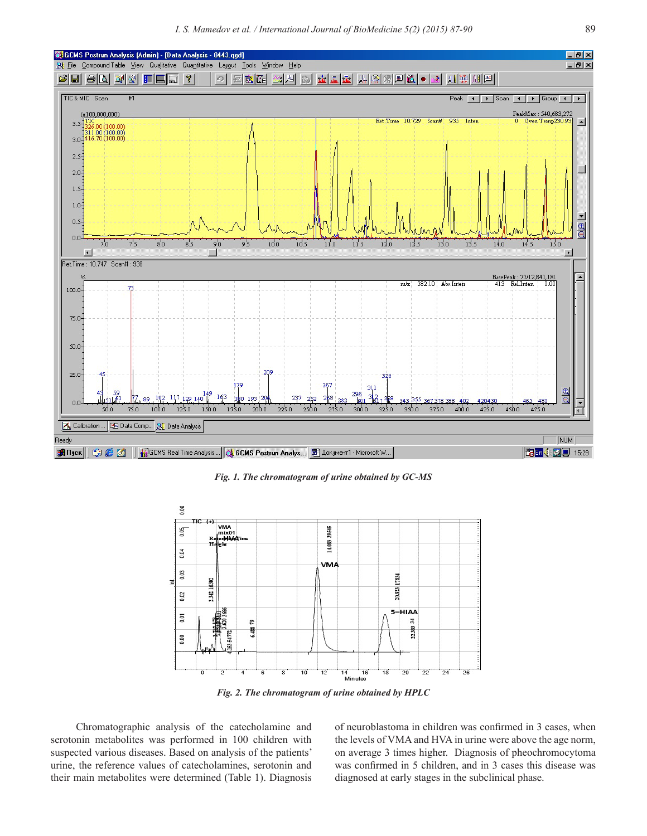

*Fig. 1. The chromatogram of urine obtained by GC-MS*



*Fig. 2. The chromatogram of urine obtained by HPLC* 

Chromatographic analysis of the catecholamine and serotonin metabolites was performed in 100 children with suspected various diseases. Based on analysis of the patients' urine, the reference values of catecholamines, serotonin and their main metabolites were determined (Table 1). Diagnosis of neuroblastoma in children was confirmed in 3 cases, when the levels of VMA and HVA in urine were above the age norm, on average 3 times higher. Diagnosis of pheochromocytoma was confirmed in 5 children, and in 3 cases this disease was diagnosed at early stages in the subclinical phase.